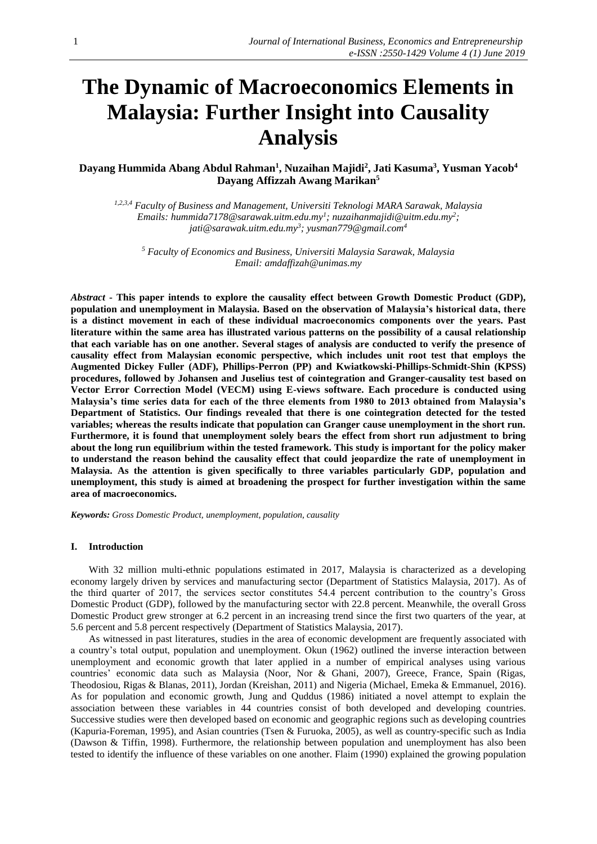# **The Dynamic of Macroeconomics Elements in Malaysia: Further Insight into Causality Analysis**

# **Dayang Hummida Abang Abdul Rahman<sup>1</sup> , Nuzaihan Majidi<sup>2</sup> , Jati Kasuma<sup>3</sup> , Yusman Yacob<sup>4</sup> Dayang Affizzah Awang Marikan<sup>5</sup>**

*1,2,3,4 Faculty of Business and Management, Universiti Teknologi MARA Sarawak, Malaysia Emails: [hummida7178@sarawak.uitm.edu.my](mailto:hummida7178@sarawak.uitm.edu.my)<sup>1</sup> ; [nuzaihanmajidi@uitm.edu.my](mailto:nuzaihanmajidi@uitm.edu.my)<sup>2</sup> ; [jati@sarawak.uitm.edu.my](mailto:jati@sarawak.uitm.edu.my)<sup>3</sup> ; [yusman779@gmail.com](mailto:yusman779@gmail.com4)<sup>4</sup>*

*<sup>5</sup> Faculty of Economics and Business, Universiti Malaysia Sarawak, Malaysia Email: [amdaffizah@unimas.my](mailto:amdaffizah@unimas.my)*

*Abstract* **- This paper intends to explore the causality effect between Growth Domestic Product (GDP), population and unemployment in Malaysia. Based on the observation of Malaysia's historical data, there is a distinct movement in each of these individual macroeconomics components over the years. Past literature within the same area has illustrated various patterns on the possibility of a causal relationship that each variable has on one another. Several stages of analysis are conducted to verify the presence of causality effect from Malaysian economic perspective, which includes unit root test that employs the Augmented Dickey Fuller (ADF), Phillips-Perron (PP) and Kwiatkowski-Phillips-Schmidt-Shin (KPSS) procedures, followed by Johansen and Juselius test of cointegration and Granger-causality test based on Vector Error Correction Model (VECM) using E-views software. Each procedure is conducted using Malaysia's time series data for each of the three elements from 1980 to 2013 obtained from Malaysia's Department of Statistics. Our findings revealed that there is one cointegration detected for the tested variables; whereas the results indicate that population can Granger cause unemployment in the short run. Furthermore, it is found that unemployment solely bears the effect from short run adjustment to bring about the long run equilibrium within the tested framework. This study is important for the policy maker to understand the reason behind the causality effect that could jeopardize the rate of unemployment in Malaysia. As the attention is given specifically to three variables particularly GDP, population and unemployment, this study is aimed at broadening the prospect for further investigation within the same area of macroeconomics.**

*Keywords: Gross Domestic Product, unemployment, population, causality*

## **I. Introduction**

With 32 million multi-ethnic populations estimated in 2017, Malaysia is characterized as a developing economy largely driven by services and manufacturing sector (Department of Statistics Malaysia, 2017). As of the third quarter of 2017, the services sector constitutes 54.4 percent contribution to the country's Gross Domestic Product (GDP), followed by the manufacturing sector with 22.8 percent. Meanwhile, the overall Gross Domestic Product grew stronger at 6.2 percent in an increasing trend since the first two quarters of the year, at 5.6 percent and 5.8 percent respectively (Department of Statistics Malaysia, 2017).

As witnessed in past literatures, studies in the area of economic development are frequently associated with a country's total output, population and unemployment. Okun (1962) outlined the inverse interaction between unemployment and economic growth that later applied in a number of empirical analyses using various countries' economic data such as Malaysia (Noor, Nor & Ghani, 2007), Greece, France, Spain (Rigas, Theodosiou, Rigas & Blanas, 2011), Jordan (Kreishan, 2011) and Nigeria (Michael, Emeka & Emmanuel, 2016). As for population and economic growth, Jung and Quddus (1986) initiated a novel attempt to explain the association between these variables in 44 countries consist of both developed and developing countries. Successive studies were then developed based on economic and geographic regions such as developing countries (Kapuria-Foreman, 1995), and Asian countries (Tsen & Furuoka, 2005), as well as country-specific such as India (Dawson & Tiffin, 1998). Furthermore, the relationship between population and unemployment has also been tested to identify the influence of these variables on one another. Flaim (1990) explained the growing population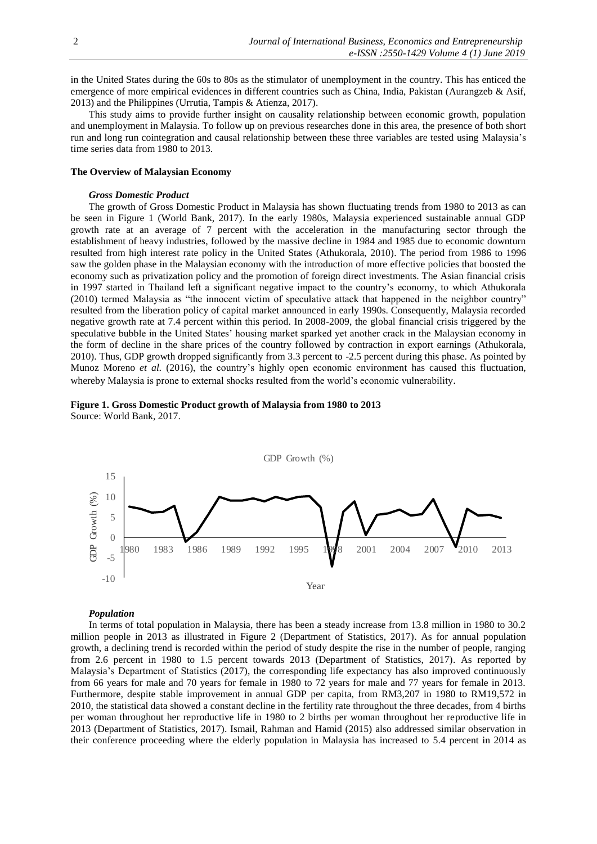in the United States during the 60s to 80s as the stimulator of unemployment in the country. This has enticed the emergence of more empirical evidences in different countries such as China, India, Pakistan (Aurangzeb & Asif, 2013) and the Philippines (Urrutia, Tampis & Atienza, 2017).

This study aims to provide further insight on causality relationship between economic growth, population and unemployment in Malaysia. To follow up on previous researches done in this area, the presence of both short run and long run cointegration and causal relationship between these three variables are tested using Malaysia's time series data from 1980 to 2013.

## **The Overview of Malaysian Economy**

## *Gross Domestic Product*

The growth of Gross Domestic Product in Malaysia has shown fluctuating trends from 1980 to 2013 as can be seen in Figure 1 (World Bank, 2017). In the early 1980s, Malaysia experienced sustainable annual GDP growth rate at an average of 7 percent with the acceleration in the manufacturing sector through the establishment of heavy industries, followed by the massive decline in 1984 and 1985 due to economic downturn resulted from high interest rate policy in the United States (Athukorala, 2010). The period from 1986 to 1996 saw the golden phase in the Malaysian economy with the introduction of more effective policies that boosted the economy such as privatization policy and the promotion of foreign direct investments. The Asian financial crisis in 1997 started in Thailand left a significant negative impact to the country's economy, to which Athukorala (2010) termed Malaysia as "the innocent victim of speculative attack that happened in the neighbor country" resulted from the liberation policy of capital market announced in early 1990s. Consequently, Malaysia recorded negative growth rate at 7.4 percent within this period. In 2008-2009, the global financial crisis triggered by the speculative bubble in the United States' housing market sparked yet another crack in the Malaysian economy in the form of decline in the share prices of the country followed by contraction in export earnings (Athukorala, 2010). Thus, GDP growth dropped significantly from 3.3 percent to -2.5 percent during this phase. As pointed by Munoz Moreno *et al.* (2016), the country's highly open economic environment has caused this fluctuation, whereby Malaysia is prone to external shocks resulted from the world's economic vulnerability.





### *Population*

In terms of total population in Malaysia, there has been a steady increase from 13.8 million in 1980 to 30.2 million people in 2013 as illustrated in Figure 2 (Department of Statistics, 2017). As for annual population growth, a declining trend is recorded within the period of study despite the rise in the number of people, ranging from 2.6 percent in 1980 to 1.5 percent towards 2013 (Department of Statistics, 2017). As reported by Malaysia's Department of Statistics (2017), the corresponding life expectancy has also improved continuously from 66 years for male and 70 years for female in 1980 to 72 years for male and 77 years for female in 2013. Furthermore, despite stable improvement in annual GDP per capita, from RM3,207 in 1980 to RM19,572 in 2010, the statistical data showed a constant decline in the fertility rate throughout the three decades, from 4 births per woman throughout her reproductive life in 1980 to 2 births per woman throughout her reproductive life in 2013 (Department of Statistics, 2017). Ismail, Rahman and Hamid (2015) also addressed similar observation in their conference proceeding where the elderly population in Malaysia has increased to 5.4 percent in 2014 as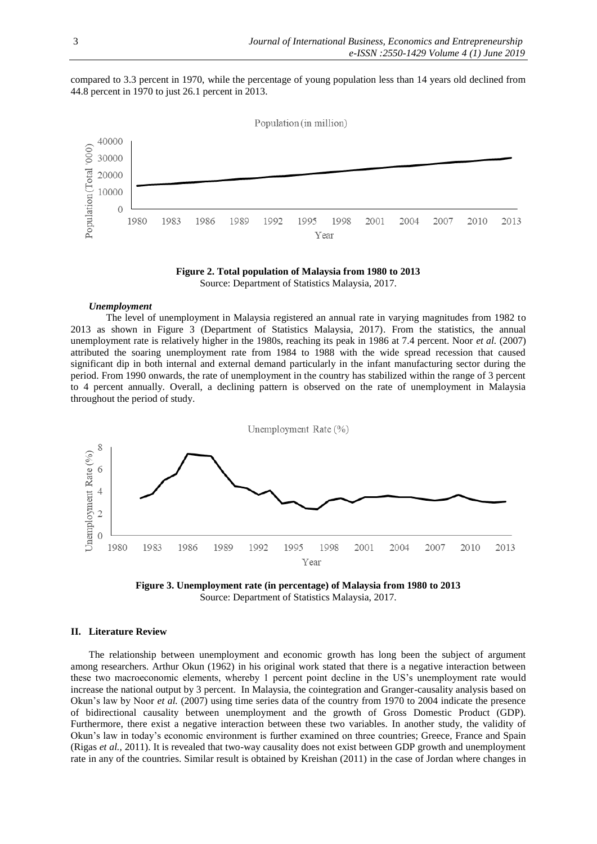compared to 3.3 percent in 1970, while the percentage of young population less than 14 years old declined from 44.8 percent in 1970 to just 26.1 percent in 2013.



**Figure 2. Total population of Malaysia from 1980 to 2013** Source: Department of Statistics Malaysia, 2017.

## *Unemployment*

The level of unemployment in Malaysia registered an annual rate in varying magnitudes from 1982 to 2013 as shown in Figure 3 (Department of Statistics Malaysia, 2017). From the statistics, the annual unemployment rate is relatively higher in the 1980s, reaching its peak in 1986 at 7.4 percent. Noor *et al.* (2007) attributed the soaring unemployment rate from 1984 to 1988 with the wide spread recession that caused significant dip in both internal and external demand particularly in the infant manufacturing sector during the period. From 1990 onwards, the rate of unemployment in the country has stabilized within the range of 3 percent to 4 percent annually. Overall, a declining pattern is observed on the rate of unemployment in Malaysia throughout the period of study.





# **II. Literature Review**

The relationship between unemployment and economic growth has long been the subject of argument among researchers. Arthur Okun (1962) in his original work stated that there is a negative interaction between these two macroeconomic elements, whereby 1 percent point decline in the US's unemployment rate would increase the national output by 3 percent. In Malaysia, the cointegration and Granger-causality analysis based on Okun's law by Noor *et al.* (2007) using time series data of the country from 1970 to 2004 indicate the presence of bidirectional causality between unemployment and the growth of Gross Domestic Product (GDP). Furthermore, there exist a negative interaction between these two variables. In another study, the validity of Okun's law in today's economic environment is further examined on three countries; Greece, France and Spain (Rigas *et al.*, 2011). It is revealed that two-way causality does not exist between GDP growth and unemployment rate in any of the countries. Similar result is obtained by Kreishan (2011) in the case of Jordan where changes in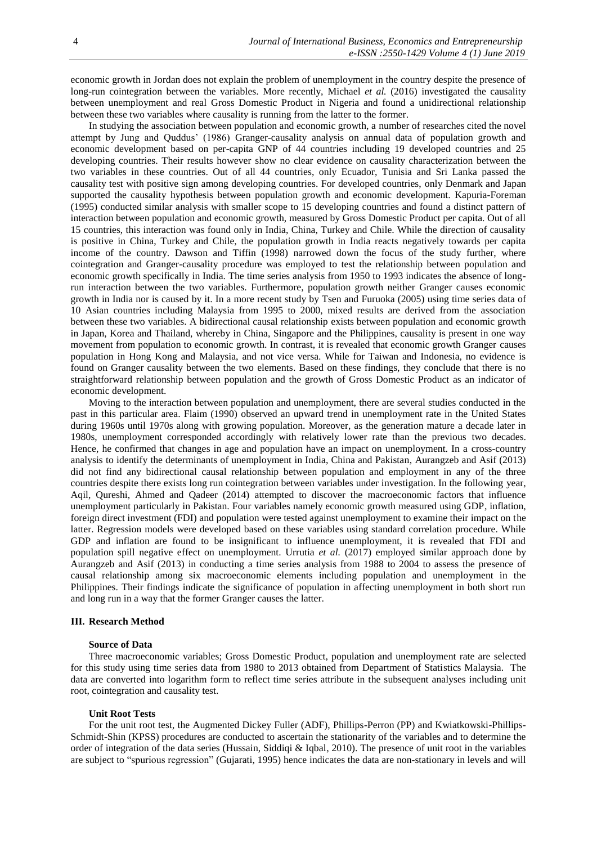economic growth in Jordan does not explain the problem of unemployment in the country despite the presence of long-run cointegration between the variables. More recently, Michael *et al.* (2016) investigated the causality between unemployment and real Gross Domestic Product in Nigeria and found a unidirectional relationship between these two variables where causality is running from the latter to the former.

In studying the association between population and economic growth, a number of researches cited the novel attempt by Jung and Quddus' (1986) Granger-causality analysis on annual data of population growth and economic development based on per-capita GNP of 44 countries including 19 developed countries and 25 developing countries. Their results however show no clear evidence on causality characterization between the two variables in these countries. Out of all 44 countries, only Ecuador, Tunisia and Sri Lanka passed the causality test with positive sign among developing countries. For developed countries, only Denmark and Japan supported the causality hypothesis between population growth and economic development. Kapuria-Foreman (1995) conducted similar analysis with smaller scope to 15 developing countries and found a distinct pattern of interaction between population and economic growth, measured by Gross Domestic Product per capita. Out of all 15 countries, this interaction was found only in India, China, Turkey and Chile. While the direction of causality is positive in China, Turkey and Chile, the population growth in India reacts negatively towards per capita income of the country. Dawson and Tiffin (1998) narrowed down the focus of the study further, where cointegration and Granger-causality procedure was employed to test the relationship between population and economic growth specifically in India. The time series analysis from 1950 to 1993 indicates the absence of longrun interaction between the two variables. Furthermore, population growth neither Granger causes economic growth in India nor is caused by it. In a more recent study by Tsen and Furuoka (2005) using time series data of 10 Asian countries including Malaysia from 1995 to 2000, mixed results are derived from the association between these two variables. A bidirectional causal relationship exists between population and economic growth in Japan, Korea and Thailand, whereby in China, Singapore and the Philippines, causality is present in one way movement from population to economic growth. In contrast, it is revealed that economic growth Granger causes population in Hong Kong and Malaysia, and not vice versa. While for Taiwan and Indonesia, no evidence is found on Granger causality between the two elements. Based on these findings, they conclude that there is no straightforward relationship between population and the growth of Gross Domestic Product as an indicator of economic development.

Moving to the interaction between population and unemployment, there are several studies conducted in the past in this particular area. Flaim (1990) observed an upward trend in unemployment rate in the United States during 1960s until 1970s along with growing population. Moreover, as the generation mature a decade later in 1980s, unemployment corresponded accordingly with relatively lower rate than the previous two decades. Hence, he confirmed that changes in age and population have an impact on unemployment. In a cross-country analysis to identify the determinants of unemployment in India, China and Pakistan, Aurangzeb and Asif (2013) did not find any bidirectional causal relationship between population and employment in any of the three countries despite there exists long run cointegration between variables under investigation. In the following year, Aqil, Qureshi, Ahmed and Qadeer (2014) attempted to discover the macroeconomic factors that influence unemployment particularly in Pakistan. Four variables namely economic growth measured using GDP, inflation, foreign direct investment (FDI) and population were tested against unemployment to examine their impact on the latter. Regression models were developed based on these variables using standard correlation procedure. While GDP and inflation are found to be insignificant to influence unemployment, it is revealed that FDI and population spill negative effect on unemployment. Urrutia *et al.* (2017) employed similar approach done by Aurangzeb and Asif (2013) in conducting a time series analysis from 1988 to 2004 to assess the presence of causal relationship among six macroeconomic elements including population and unemployment in the Philippines. Their findings indicate the significance of population in affecting unemployment in both short run and long run in a way that the former Granger causes the latter.

# **III. Research Method**

#### **Source of Data**

Three macroeconomic variables; Gross Domestic Product, population and unemployment rate are selected for this study using time series data from 1980 to 2013 obtained from Department of Statistics Malaysia. The data are converted into logarithm form to reflect time series attribute in the subsequent analyses including unit root, cointegration and causality test.

#### **Unit Root Tests**

For the unit root test, the Augmented Dickey Fuller (ADF), Phillips-Perron (PP) and Kwiatkowski-Phillips-Schmidt-Shin (KPSS) procedures are conducted to ascertain the stationarity of the variables and to determine the order of integration of the data series (Hussain, Siddiqi & Iqbal, 2010). The presence of unit root in the variables are subject to "spurious regression" (Gujarati, 1995) hence indicates the data are non-stationary in levels and will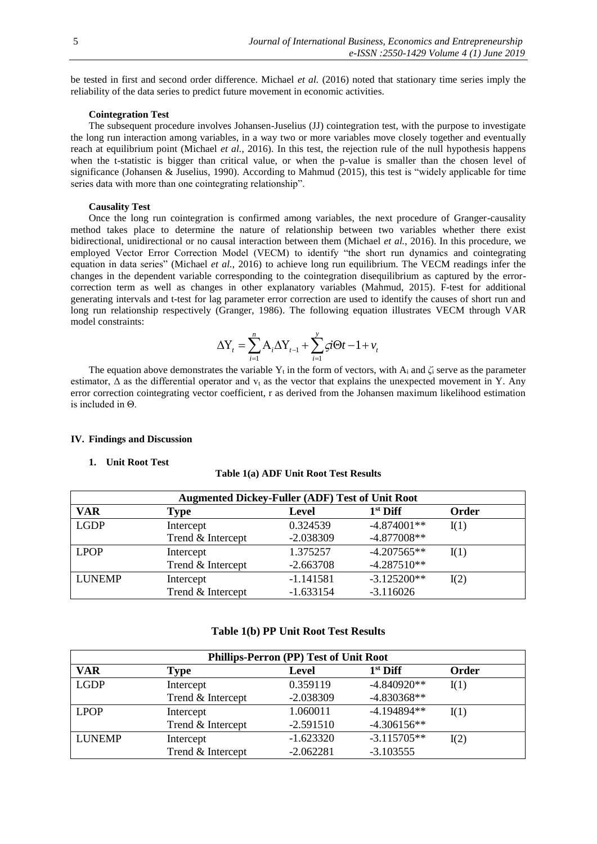be tested in first and second order difference. Michael *et al.* (2016) noted that stationary time series imply the reliability of the data series to predict future movement in economic activities.

#### **Cointegration Test**

The subsequent procedure involves Johansen-Juselius (JJ) cointegration test, with the purpose to investigate the long run interaction among variables, in a way two or more variables move closely together and eventually reach at equilibrium point (Michael *et al.*, 2016). In this test, the rejection rule of the null hypothesis happens when the t-statistic is bigger than critical value, or when the p-value is smaller than the chosen level of significance (Johansen & Juselius, 1990). According to Mahmud (2015), this test is "widely applicable for time series data with more than one cointegrating relationship".

# **Causality Test**

Once the long run cointegration is confirmed among variables, the next procedure of Granger-causality method takes place to determine the nature of relationship between two variables whether there exist bidirectional, unidirectional or no causal interaction between them (Michael *et al.*, 2016). In this procedure, we employed Vector Error Correction Model (VECM) to identify "the short run dynamics and cointegrating equation in data series" (Michael *et al.*, 2016) to achieve long run equilibrium. The VECM readings infer the changes in the dependent variable corresponding to the cointegration disequilibrium as captured by the errorcorrection term as well as changes in other explanatory variables (Mahmud, 2015). F-test for additional generating intervals and t-test for lag parameter error correction are used to identify the causes of short run and long run relationship respectively (Granger, 1986). The following equation illustrates VECM through VAR model constraints:

$$
\Delta Y_t = \sum_{i=1}^n A_i \Delta Y_{t-1} + \sum_{i=1}^y \varsigma i \Theta t - 1 + v_t
$$

The equation above demonstrates the variable Y<sub>t</sub> in the form of vectors, with A<sub>i</sub> and  $\zeta$ <sub>i</sub> serve as the parameter estimator,  $\Delta$  as the differential operator and  $v_t$  as the vector that explains the unexpected movement in Y. Any error correction cointegrating vector coefficient, r as derived from the Johansen maximum likelihood estimation is included in Θ.

#### **IV. Findings and Discussion**

## **1. Unit Root Test**

#### **Table 1(a) ADF Unit Root Test Results**

| <b>Augmented Dickey-Fuller (ADF) Test of Unit Root</b> |                   |             |               |       |  |
|--------------------------------------------------------|-------------------|-------------|---------------|-------|--|
| VAR                                                    | <b>Type</b>       | Level       | $1st$ Diff    | Order |  |
| <b>LGDP</b>                                            | Intercept         | 0.324539    | $-4.874001**$ | I(1)  |  |
|                                                        | Trend & Intercept | $-2.038309$ | $-4.877008**$ |       |  |
| <b>LPOP</b>                                            | Intercept         | 1.375257    | $-4.207565**$ | I(1)  |  |
|                                                        | Trend & Intercept | $-2.663708$ | $-4.287510**$ |       |  |
| <b>LUNEMP</b>                                          | Intercept         | $-1.141581$ | $-3.125200**$ | I(2)  |  |
|                                                        | Trend & Intercept | $-1.633154$ | $-3.116026$   |       |  |

# **Table 1(b) PP Unit Root Test Results**

| Phillips-Perron (PP) Test of Unit Root |                   |             |               |       |  |
|----------------------------------------|-------------------|-------------|---------------|-------|--|
| VAR                                    | <b>Type</b>       | Level       | $1st$ Diff    | Order |  |
| <b>LGDP</b>                            | Intercept         | 0.359119    | $-4.840920**$ | I(1)  |  |
|                                        | Trend & Intercept | $-2.038309$ | $-4.830368**$ |       |  |
| <b>LPOP</b>                            | Intercept         | 1.060011    | $-4.194894**$ | I(1)  |  |
|                                        | Trend & Intercept | $-2.591510$ | $-4.306156**$ |       |  |
| <b>LUNEMP</b>                          | Intercept         | $-1.623320$ | $-3.115705**$ | I(2)  |  |
|                                        | Trend & Intercept | $-2.062281$ | $-3.103555$   |       |  |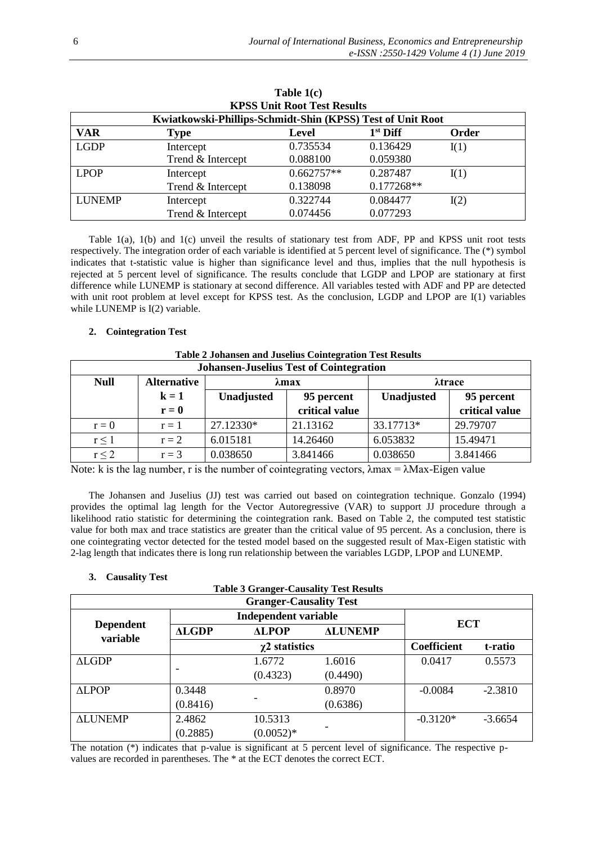| <b>KPSS Unit Root Test Results</b>                         |                   |              |            |       |  |
|------------------------------------------------------------|-------------------|--------------|------------|-------|--|
| Kwiatkowski-Phillips-Schmidt-Shin (KPSS) Test of Unit Root |                   |              |            |       |  |
| <b>VAR</b>                                                 | <b>Type</b>       | Level        | $1st$ Diff | Order |  |
| <b>LGDP</b>                                                | Intercept         | 0.735534     | 0.136429   | I(1)  |  |
|                                                            | Trend & Intercept | 0.088100     | 0.059380   |       |  |
| <b>LPOP</b>                                                | Intercept         | $0.662757**$ | 0.287487   | I(1)  |  |
|                                                            | Trend & Intercept | 0.138098     | 0.177268** |       |  |
| <b>LUNEMP</b>                                              | Intercept         | 0.322744     | 0.084477   | I(2)  |  |
|                                                            | Trend & Intercept | 0.074456     | 0.077293   |       |  |

**Table 1(c)**

Table 1(a), 1(b) and 1(c) unveil the results of stationary test from ADF, PP and KPSS unit root tests respectively. The integration order of each variable is identified at 5 percent level of significance. The (\*) symbol indicates that t-statistic value is higher than significance level and thus, implies that the null hypothesis is rejected at 5 percent level of significance. The results conclude that LGDP and LPOP are stationary at first difference while LUNEMP is stationary at second difference. All variables tested with ADF and PP are detected with unit root problem at level except for KPSS test. As the conclusion, LGDP and LPOP are I(1) variables while LUNEMP is I(2) variable.

# **2. Cointegration Test**

| <b>Table 2 Johansen and Juselius Cointegration Test Results</b> |                    |                   |                |               |                |
|-----------------------------------------------------------------|--------------------|-------------------|----------------|---------------|----------------|
| <b>Johansen-Juselius Test of Cointegration</b>                  |                    |                   |                |               |                |
| <b>Null</b>                                                     | <b>Alternative</b> | $\lambda$ max     |                | <b>Atrace</b> |                |
|                                                                 | $k = 1$            | <b>Unadjusted</b> | 95 percent     | Unadjusted    | 95 percent     |
|                                                                 | $r = 0$            |                   | critical value |               | critical value |
| $r = 0$                                                         | $r=1$              | 27.12330*         | 21.13162       | 33.17713*     | 29.79707       |
| $r \leq 1$                                                      | $r = 2$            | 6.015181          | 14.26460       | 6.053832      | 15.49471       |
| $r \leq 2$                                                      | $r = 3$            | 0.038650          | 3.841466       | 0.038650      | 3.841466       |

Note: k is the lag number, r is the number of cointegrating vectors,  $\lambda$ max =  $\lambda$ Max-Eigen value

The Johansen and Juselius (JJ) test was carried out based on cointegration technique. Gonzalo (1994) provides the optimal lag length for the Vector Autoregressive (VAR) to support JJ procedure through a likelihood ratio statistic for determining the cointegration rank. Based on Table 2, the computed test statistic value for both max and trace statistics are greater than the critical value of 95 percent. As a conclusion, there is one cointegrating vector detected for the tested model based on the suggested result of Max-Eigen statistic with 2-lag length that indicates there is long run relationship between the variables LGDP, LPOP and LUNEMP.

# **3. Causality Test**

| <b>Granger-Causality Test</b> |                             |              |                |             |           |  |
|-------------------------------|-----------------------------|--------------|----------------|-------------|-----------|--|
|                               | <b>Independent variable</b> |              |                |             |           |  |
| <b>Dependent</b><br>variable  | <b>ALGDP</b>                | <b>ALPOP</b> | <b>ALUNEMP</b> | <b>ECT</b>  |           |  |
|                               | $\chi$ 2 statistics         |              |                | Coefficient | t-ratio   |  |
| ALGDP                         |                             | 1.6772       | 1.6016         | 0.0417      | 0.5573    |  |
|                               |                             | (0.4323)     | (0.4490)       |             |           |  |
| <b>ALPOP</b>                  | 0.3448                      |              | 0.8970         | $-0.0084$   | $-2.3810$ |  |
|                               | (0.8416)                    |              | (0.6386)       |             |           |  |
| <b>ALUNEMP</b>                | 2.4862                      | 10.5313      |                | $-0.3120*$  | $-3.6654$ |  |
|                               | (0.2885)                    | $(0.0052)*$  |                |             |           |  |

The notation (\*) indicates that p-value is significant at 5 percent level of significance. The respective pvalues are recorded in parentheses. The \* at the ECT denotes the correct ECT.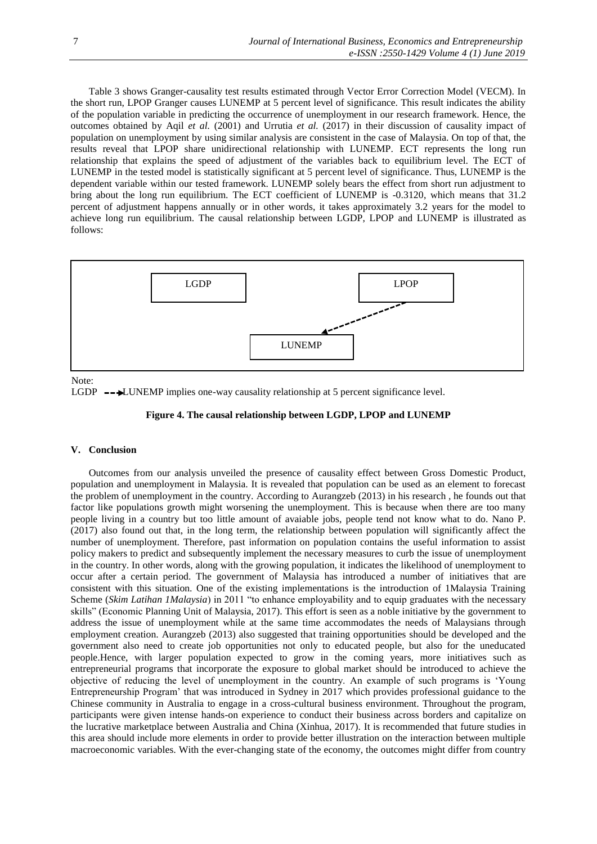Table 3 shows Granger-causality test results estimated through Vector Error Correction Model (VECM). In the short run, LPOP Granger causes LUNEMP at 5 percent level of significance. This result indicates the ability of the population variable in predicting the occurrence of unemployment in our research framework. Hence, the outcomes obtained by Aqil *et al.* (2001) and Urrutia *et al.* (2017) in their discussion of causality impact of population on unemployment by using similar analysis are consistent in the case of Malaysia. On top of that, the results reveal that LPOP share unidirectional relationship with LUNEMP. ECT represents the long run relationship that explains the speed of adjustment of the variables back to equilibrium level. The ECT of LUNEMP in the tested model is statistically significant at 5 percent level of significance. Thus, LUNEMP is the dependent variable within our tested framework. LUNEMP solely bears the effect from short run adjustment to bring about the long run equilibrium. The ECT coefficient of LUNEMP is -0.3120, which means that 31.2 percent of adjustment happens annually or in other words, it takes approximately 3.2 years for the model to achieve long run equilibrium. The causal relationship between LGDP, LPOP and LUNEMP is illustrated as follows:



Note:

LGDP  $\rightarrow$  LUNEMP implies one-way causality relationship at 5 percent significance level.

## **Figure 4. The causal relationship between LGDP, LPOP and LUNEMP**

#### **V. Conclusion**

Outcomes from our analysis unveiled the presence of causality effect between Gross Domestic Product, population and unemployment in Malaysia. It is revealed that population can be used as an element to forecast the problem of unemployment in the country. According to Aurangzeb (2013) in his research , he founds out that factor like populations growth might worsening the unemployment. This is because when there are too many people living in a country but too little amount of avaiable jobs, people tend not know what to do. Nano P. (2017) also found out that, in the long term, the relationship between population will significantly affect the number of unemployment. Therefore, past information on population contains the useful information to assist policy makers to predict and subsequently implement the necessary measures to curb the issue of unemployment in the country. In other words, along with the growing population, it indicates the likelihood of unemployment to occur after a certain period. The government of Malaysia has introduced a number of initiatives that are consistent with this situation. One of the existing implementations is the introduction of 1Malaysia Training Scheme (*Skim Latihan 1Malaysia*) in 2011 "to enhance employability and to equip graduates with the necessary skills" (Economic Planning Unit of Malaysia, 2017). This effort is seen as a noble initiative by the government to address the issue of unemployment while at the same time accommodates the needs of Malaysians through employment creation. Aurangzeb (2013) also suggested that training opportunities should be developed and the government also need to create job opportunities not only to educated people, but also for the uneducated people.Hence, with larger population expected to grow in the coming years, more initiatives such as entrepreneurial programs that incorporate the exposure to global market should be introduced to achieve the objective of reducing the level of unemployment in the country. An example of such programs is 'Young Entrepreneurship Program' that was introduced in Sydney in 2017 which provides professional guidance to the Chinese community in Australia to engage in a cross-cultural business environment. Throughout the program, participants were given intense hands-on experience to conduct their business across borders and capitalize on the lucrative marketplace between Australia and China (Xinhua, 2017). It is recommended that future studies in this area should include more elements in order to provide better illustration on the interaction between multiple macroeconomic variables. With the ever-changing state of the economy, the outcomes might differ from country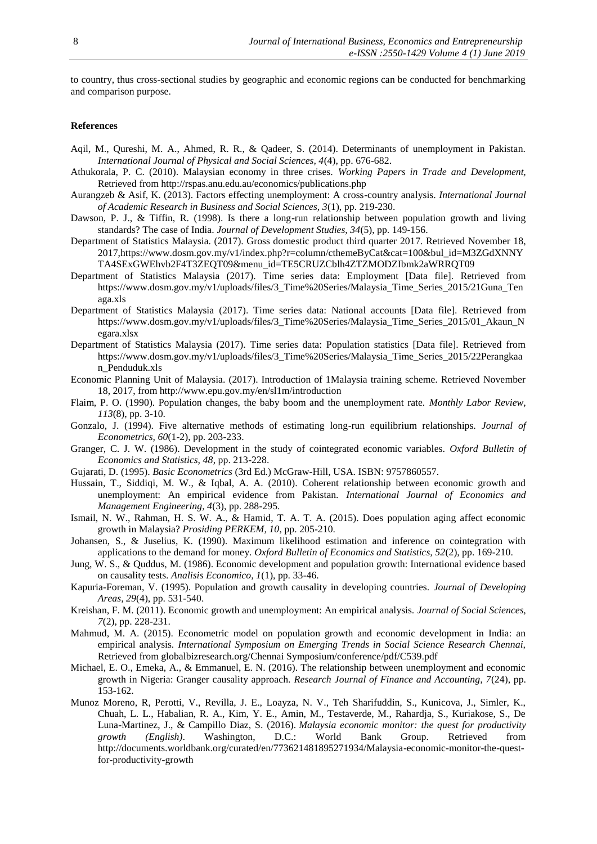to country, thus cross-sectional studies by geographic and economic regions can be conducted for benchmarking and comparison purpose.

## **References**

- Aqil, M., Qureshi, M. A., Ahmed, R. R., & Qadeer, S. (2014). Determinants of unemployment in Pakistan. *International Journal of Physical and Social Sciences, 4*(4), pp. 676-682.
- Athukorala, P. C. (2010). Malaysian economy in three crises. *Working Papers in Trade and Development,* Retrieved from http://rspas.anu.edu.au/economics/publications.php
- Aurangzeb & Asif, K. (2013). Factors effecting unemployment: A cross-country analysis. *International Journal of Academic Research in Business and Social Sciences, 3*(1), pp. 219-230.
- Dawson, P. J., & Tiffin, R. (1998). Is there a long-run relationship between population growth and living standards? The case of India. *Journal of Development Studies, 34*(5), pp. 149-156.
- Department of Statistics Malaysia. (2017). Gross domestic product third quarter 2017. Retrieved November 18, 2017,https://www.dosm.gov.my/v1/index.php?r=column/cthemeByCat&cat=100&bul\_id=M3ZGdXNNY TA4SExGWEhvb2F4T3ZEQT09&menu\_id=TE5CRUZCblh4ZTZMODZIbmk2aWRRQT09
- Department of Statistics Malaysia (2017). Time series data: Employment [Data file]. Retrieved from https://www.dosm.gov.my/v1/uploads/files/3\_Time%20Series/Malaysia\_Time\_Series\_2015/21Guna\_Ten aga.xls
- Department of Statistics Malaysia (2017). Time series data: National accounts [Data file]. Retrieved from https://www.dosm.gov.my/v1/uploads/files/3\_Time%20Series/Malaysia\_Time\_Series\_2015/01\_Akaun\_N egara.xlsx
- Department of Statistics Malaysia (2017). Time series data: Population statistics [Data file]. Retrieved from https://www.dosm.gov.my/v1/uploads/files/3\_Time%20Series/Malaysia\_Time\_Series\_2015/22Perangkaa n\_Penduduk.xls
- Economic Planning Unit of Malaysia. (2017). Introduction of 1Malaysia training scheme. Retrieved November 18, 2017, from http://www.epu.gov.my/en/sl1m/introduction
- Flaim, P. O. (1990). Population changes, the baby boom and the unemployment rate. *Monthly Labor Review, 113*(8), pp. 3-10.
- Gonzalo, J. (1994). Five alternative methods of estimating long-run equilibrium relationships. *Journal of Econometrics, 60*(1-2), pp. 203-233.
- Granger, C. J. W. (1986). Development in the study of cointegrated economic variables. *Oxford Bulletin of Economics and Statistics, 48*, pp. 213-228.
- Gujarati, D. (1995). *Basic Econometrics* (3rd Ed.) McGraw-Hill, USA. ISBN: 9757860557.
- Hussain, T., Siddiqi, M. W., & Iqbal, A. A. (2010). Coherent relationship between economic growth and unemployment: An empirical evidence from Pakistan. *International Journal of Economics and Management Engineering, 4*(3), pp. 288-295.
- Ismail, N. W., Rahman, H. S. W. A., & Hamid, T. A. T. A. (2015). Does population aging affect economic growth in Malaysia? *Prosiding PERKEM, 10*, pp. 205-210.
- Johansen, S., & Juselius, K. (1990). Maximum likelihood estimation and inference on cointegration with applications to the demand for money. *Oxford Bulletin of Economics and Statistics, 52*(2), pp. 169-210.
- Jung, W. S., & Quddus, M. (1986). Economic development and population growth: International evidence based on causality tests. *Analisis Economico, 1*(1), pp. 33-46.
- Kapuria-Foreman, V. (1995). Population and growth causality in developing countries. *Journal of Developing Areas, 29*(4), pp. 531-540.
- Kreishan, F. M. (2011). Economic growth and unemployment: An empirical analysis. *Journal of Social Sciences, 7*(2), pp. 228-231.
- Mahmud, M. A. (2015). Econometric model on population growth and economic development in India: an empirical analysis. *International Symposium on Emerging Trends in Social Science Research Chennai,* Retrieved from globalbizresearch.org/Chennai Symposium/conference/pdf/C539.pdf
- Michael, E. O., Emeka, A., & Emmanuel, E. N. (2016). The relationship between unemployment and economic growth in Nigeria: Granger causality approach. *Research Journal of Finance and Accounting, 7*(24), pp. 153-162.
- Munoz Moreno, R, Perotti, V., Revilla, J. E., Loayza, N. V., Teh Sharifuddin, S., Kunicova, J., Simler, K., Chuah, L. L., Habalian, R. A., Kim, Y. E., Amin, M., Testaverde, M., Rahardja, S., Kuriakose, S., De Luna-Martinez, J., & Campillo Diaz, S. (2016). *Malaysia economic monitor: the quest for productivity growth (English)*. Washington, D.C.: World Bank Group. Retrieved from http://documents.worldbank.org/curated/en/773621481895271934/Malaysia-economic-monitor-the-questfor-productivity-growth